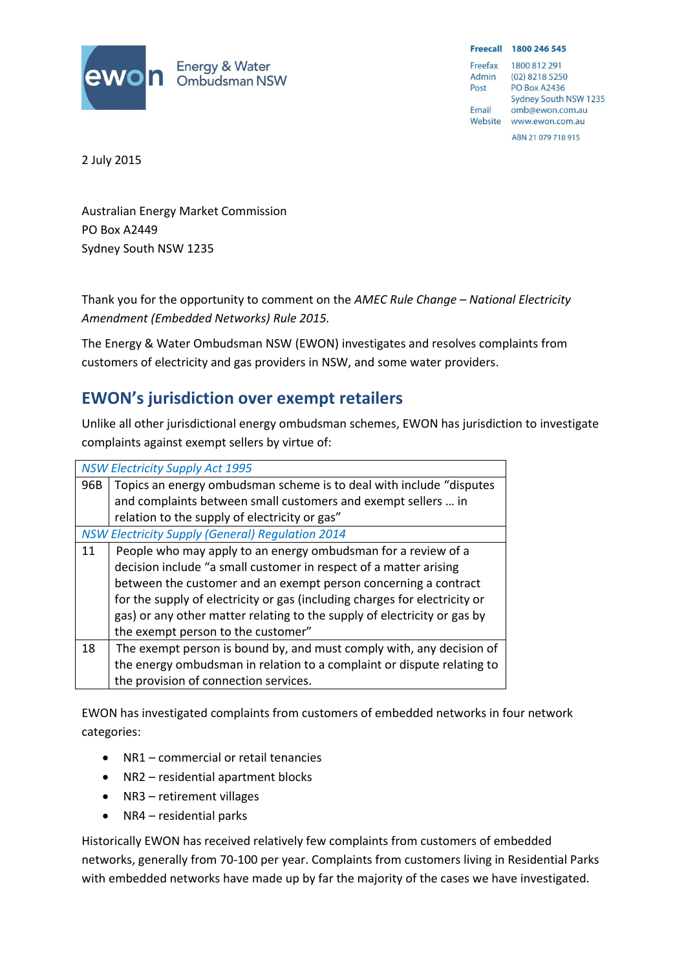

Freecall 1800 246 545

Freefax 1800 812 291 Admin  $(02)$  8218 5250 Post **PO Box A2436** Sydney South NSW 1235 Email omb@ewon.com.au Website www.ewon.com.au ABN 21 079 718 915

2 July 2015

Australian Energy Market Commission PO Box A2449 Sydney South NSW 1235

Thank you for the opportunity to comment on the *AMEC Rule Change – National Electricity Amendment (Embedded Networks) Rule 2015.*

The Energy & Water Ombudsman NSW (EWON) investigates and resolves complaints from customers of electricity and gas providers in NSW, and some water providers.

# **EWON's jurisdiction over exempt retailers**

Unlike all other jurisdictional energy ombudsman schemes, EWON has jurisdiction to investigate complaints against exempt sellers by virtue of:

| <b>NSW Electricity Supply Act 1995</b>                  |                                                                            |
|---------------------------------------------------------|----------------------------------------------------------------------------|
| 96B                                                     | Topics an energy ombudsman scheme is to deal with include "disputes"       |
|                                                         | and complaints between small customers and exempt sellers  in              |
|                                                         | relation to the supply of electricity or gas"                              |
| <b>NSW Electricity Supply (General) Regulation 2014</b> |                                                                            |
| 11                                                      | People who may apply to an energy ombudsman for a review of a              |
|                                                         | decision include "a small customer in respect of a matter arising          |
|                                                         | between the customer and an exempt person concerning a contract            |
|                                                         | for the supply of electricity or gas (including charges for electricity or |
|                                                         | gas) or any other matter relating to the supply of electricity or gas by   |
|                                                         | the exempt person to the customer"                                         |
| 18                                                      | The exempt person is bound by, and must comply with, any decision of       |
|                                                         | the energy ombudsman in relation to a complaint or dispute relating to     |
|                                                         | the provision of connection services.                                      |

EWON has investigated complaints from customers of embedded networks in four network categories:

- NR1 commercial or retail tenancies
- NR2 residential apartment blocks
- NR3 retirement villages
- $\bullet$  NR4 residential parks

Historically EWON has received relatively few complaints from customers of embedded networks, generally from 70-100 per year. Complaints from customers living in Residential Parks with embedded networks have made up by far the majority of the cases we have investigated.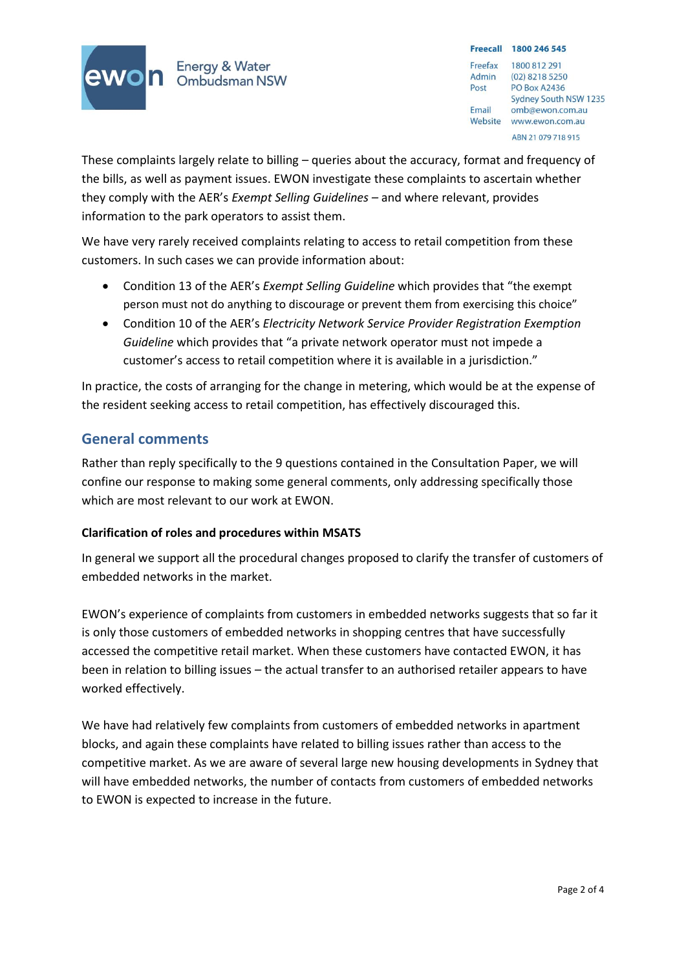

Energy & Water<br>Ombudsman NSW

Freecall 1800 246 545 Freefax 1800 812 291 Admin  $(02)$  8218 5250 **PO Box A2436** Post Sydney South NSW 1235 Email omb@ewon.com.au Website www.ewon.com.au ABN 21 079 718 915

These complaints largely relate to billing – queries about the accuracy, format and frequency of the bills, as well as payment issues. EWON investigate these complaints to ascertain whether they comply with the AER's *Exempt Selling Guidelines –* and where relevant, provides information to the park operators to assist them.

We have very rarely received complaints relating to access to retail competition from these customers. In such cases we can provide information about:

- Condition 13 of the AER's *Exempt Selling Guideline* which provides that "the exempt person must not do anything to discourage or prevent them from exercising this choice"
- Condition 10 of the AER's *Electricity Network Service Provider Registration Exemption Guideline* which provides that "a private network operator must not impede a customer's access to retail competition where it is available in a jurisdiction."

In practice, the costs of arranging for the change in metering, which would be at the expense of the resident seeking access to retail competition, has effectively discouraged this.

## **General comments**

Rather than reply specifically to the 9 questions contained in the Consultation Paper, we will confine our response to making some general comments, only addressing specifically those which are most relevant to our work at EWON.

### **Clarification of roles and procedures within MSATS**

In general we support all the procedural changes proposed to clarify the transfer of customers of embedded networks in the market.

EWON's experience of complaints from customers in embedded networks suggests that so far it is only those customers of embedded networks in shopping centres that have successfully accessed the competitive retail market. When these customers have contacted EWON, it has been in relation to billing issues – the actual transfer to an authorised retailer appears to have worked effectively.

We have had relatively few complaints from customers of embedded networks in apartment blocks, and again these complaints have related to billing issues rather than access to the competitive market. As we are aware of several large new housing developments in Sydney that will have embedded networks, the number of contacts from customers of embedded networks to EWON is expected to increase in the future.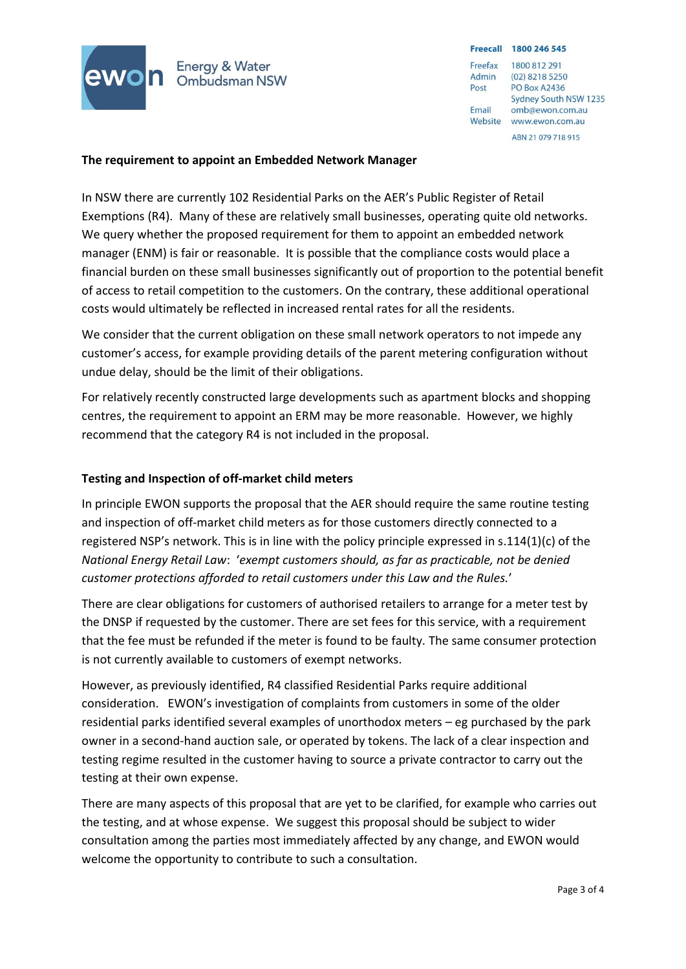

**Energy & Water** Ombudsman NSW Freecall 1800 246 545

Freefax 1800 812 291 Admin  $(02)$  8218 5250 **PO Box A2436** Post Sydney South NSW 1235 Email omb@ewon.com.au Website www.ewon.com.au ARN 21 079 718 915

#### **The requirement to appoint an Embedded Network Manager**

In NSW there are currently 102 Residential Parks on the AER's Public Register of Retail Exemptions (R4). Many of these are relatively small businesses, operating quite old networks. We query whether the proposed requirement for them to appoint an embedded network manager (ENM) is fair or reasonable. It is possible that the compliance costs would place a financial burden on these small businesses significantly out of proportion to the potential benefit of access to retail competition to the customers. On the contrary, these additional operational costs would ultimately be reflected in increased rental rates for all the residents.

We consider that the current obligation on these small network operators to not impede any customer's access, for example providing details of the parent metering configuration without undue delay, should be the limit of their obligations.

For relatively recently constructed large developments such as apartment blocks and shopping centres, the requirement to appoint an ERM may be more reasonable. However, we highly recommend that the category R4 is not included in the proposal.

#### **Testing and Inspection of off-market child meters**

In principle EWON supports the proposal that the AER should require the same routine testing and inspection of off-market child meters as for those customers directly connected to a registered NSP's network. This is in line with the policy principle expressed in s.114(1)(c) of the *National Energy Retail Law*: '*exempt customers should, as far as practicable, not be denied customer protections afforded to retail customers under this Law and the Rules.*'

There are clear obligations for customers of authorised retailers to arrange for a meter test by the DNSP if requested by the customer. There are set fees for this service, with a requirement that the fee must be refunded if the meter is found to be faulty. The same consumer protection is not currently available to customers of exempt networks.

However, as previously identified, R4 classified Residential Parks require additional consideration. EWON's investigation of complaints from customers in some of the older residential parks identified several examples of unorthodox meters – eg purchased by the park owner in a second-hand auction sale, or operated by tokens. The lack of a clear inspection and testing regime resulted in the customer having to source a private contractor to carry out the testing at their own expense.

There are many aspects of this proposal that are yet to be clarified, for example who carries out the testing, and at whose expense. We suggest this proposal should be subject to wider consultation among the parties most immediately affected by any change, and EWON would welcome the opportunity to contribute to such a consultation.